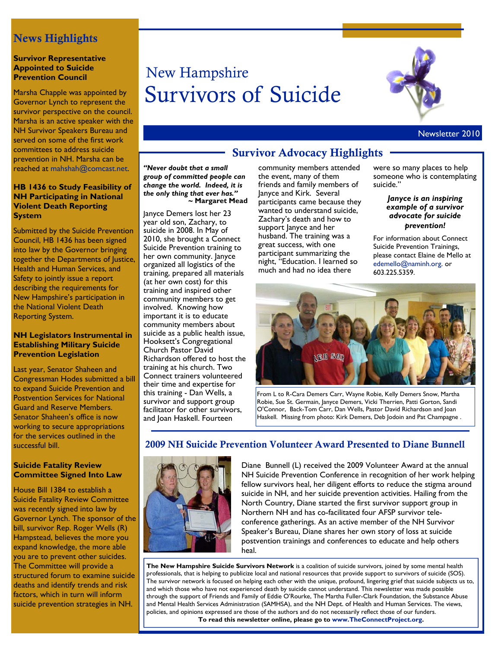### News Highlights

### **Survivor Representative Appointed to Suicide Prevention Council**

Marsha Chapple was appointed by Governor Lynch to represent the survivor perspective on the council. Marsha is an active speaker with the NH Survivor Speakers Bureau and served on some of the first work committees to address suicide prevention in NH. Marsha can be reached at mahshah@comcast.net.

### **HB 1436 to Study Feasibility of NH Participating in National Violent Death Reporting System**

Submitted by the Suicide Prevention Council, HB 1436 has been signed into law by the Governor bringing together the Departments of Justice, Health and Human Services, and Safety to jointly issue a report describing the requirements for New Hampshire's participation in the National Violent Death Reporting System.

### **NH Legislators Instrumental in Establishing Military Suicide Prevention Legislation**

Last year, Senator Shaheen and Congressman Hodes submitted a bill to expand Suicide Prevention and Postvention Services for National Guard and Reserve Members. Senator Shaheen's office is now working to secure appropriations for the services outlined in the successful bill.

### **Suicide Fatality Review Committee Signed Into Law**

House Bill 1384 to establish a Suicide Fatality Review Committee was recently signed into law by Governor Lynch. The sponsor of the bill, survivor Rep. Roger Wells (R) Hampstead, believes the more you expand knowledge, the more able you are to prevent other suicides. The Committee will provide a structured forum to examine suicide deaths and identify trends and risk factors, which in turn will inform suicide prevention strategies in NH.

# New Hampshire Survivors of Suicide



### Newsletter 2010

*"Never doubt that a small group of committed people can change the world. Indeed, it is the only thing that ever has."*  **~ Margaret Mead**

Janyce Demers lost her 23 year old son, Zachary, to suicide in 2008. In May of 2010, she brought a Connect Suicide Prevention training to her own community. Janyce organized all logistics of the training, prepared all materials (at her own cost) for this training and inspired other community members to get involved. Knowing how important it is to educate community members about suicide as a public health issue, Hooksett's Congregational Church Pastor David Richardson offered to host the training at his church. Two Connect trainers volunteered their time and expertise for this training - Dan Wells, a survivor and support group facilitator for other survivors, and Joan Haskell. Fourteen

## Survivor Advocacy Highlights

community members attended the event, many of them friends and family members of Janyce and Kirk. Several participants came because they wanted to understand suicide, Zachary's death and how to support Janyce and her husband. The training was a great success, with one participant summarizing the night, "Education. I learned so much and had no idea there

were so many places to help someone who is contemplating suicide."

> *Janyce is an inspiring example of a survivor advocate for suicide prevention!*

For information about Connect Suicide Prevention Trainings, please contact Elaine de Mello at edemello@naminh.org. or 603.225.5359.



From L to R-Cara Demers Carr, Wayne Robie, Kelly Demers Snow, Martha Robie, Sue St. Germain, Janyce Demers, Vicki Therrien, Patti Gorton, Sandi O'Connor, Back-Tom Carr, Dan Wells, Pastor David Richardson and Joan Haskell. Missing from photo: Kirk Demers, Deb Jodoin and Pat Champagne .

### 2009 NH Suicide Prevention Volunteer Award Presented to Diane Bunnell



Diane Bunnell (L) received the 2009 Volunteer Award at the annual NH Suicide Prevention Conference in recognition of her work helping fellow survivors heal, her diligent efforts to reduce the stigma around suicide in NH, and her suicide prevention activities. Hailing from the North Country, Diane started the first survivor support group in Northern NH and has co-facilitated four AFSP survivor teleconference gatherings. As an active member of the NH Survivor Speaker's Bureau, Diane shares her own story of loss at suicide postvention trainings and conferences to educate and help others heal.

**The New Hampshire Suicide Survivors Network** is a coalition of suicide survivors, joined by some mental health professionals, that is helping to publicize local and national resources that provide support to survivors of suicide (SOS). The survivor network is focused on helping each other with the unique, profound, lingering grief that suicide subjects us to, and which those who have not experienced death by suicide cannot understand. This newsletter was made possible through the support of Friends and Family of Eddie O'Rourke, The Martha Fuller-Clark Foundation, the Substance Abuse and Mental Health Services Administration (SAMHSA), and the NH Dept. of Health and Human Services. The views, policies, and opinions expressed are those of the authors and do not necessarily reflect those of our funders. **To read this newsletter online, please go to www.TheConnectProject.org.**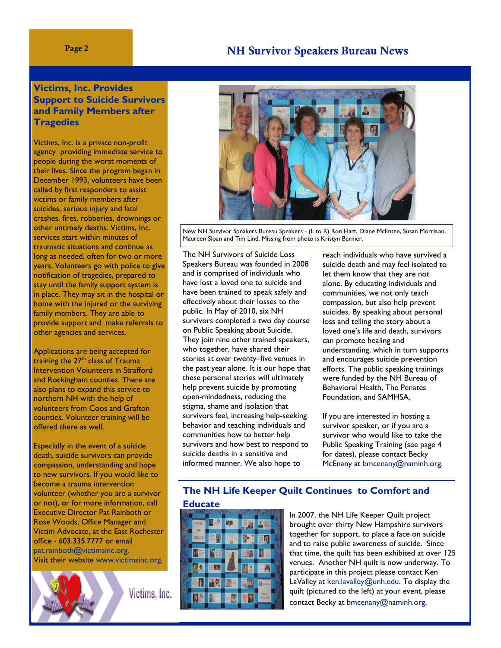### Page 2 **NH Survivor Speakers Bureau News**

### **Victims, Inc. Provides Support to Suicide Survivors and Family Members after Tragedies**

Victims, Inc. is a private non-profit agency providing immediate service to people during the worst moments of their lives. Since the program began in December 1993, volunteers have been called by first responders to assist victims or family members after suicides, serious injury and fatal crashes, fires, robberies, drownings or other untimely deaths. Victims, Inc. services start within minutes of traumatic situations and continue as long as needed, often for two or more years. Volunteers go with police to give notification of tragedies, prepared to stay until the family support system is in place. They may sit in the hospital or home with the injured or the surviving family members. They are able to provide support and make referrals to other agencies and services.

Applications are being accepted for training the  $27<sup>th</sup>$  class of Trauma Intervention Volunteers in Strafford and Rockingham counties. There are also plans to expand this service to northern NH with the help of volunteers from Coos and Grafton counties. Volunteer training will be offered there as well.

Especially in the event of a suicide death, suicide survivors can provide compassion, understanding and hope to new survivors. If you would like to become a trauma intervention volunteer (whether you are a survivor or not), or for more information, call Executive Director Pat Rainboth or Rose Woods, Office Manager and Victim Advocate, at the East Rochester office - 603.335.7777 or email pat.rainboth@victimsinc.org. Visit their website www.victimsinc.org.

Victims, Inc.



New NH Survivor Speakers Bureau Speakers - (L to R) Ron Hart, Diane McEntee, Susan Morrison, Maureen Sloan and Tim Lind. Missing from photo is Kristyn Bernier.

The NH Survivors of Suicide Loss Speakers Bureau was founded in 2008 and is comprised of individuals who have lost a loved one to suicide and have been trained to speak safely and effectively about their losses to the public. In May of 2010, six NH survivors completed a two day course on Public Speaking about Suicide. They join nine other trained speakers, who together, have shared their stories at over twenty–five venues in the past year alone. It is our hope that these personal stories will ultimately help prevent suicide by promoting open-mindedness, reducing the stigma, shame and isolation that survivors feel, increasing help-seeking behavior and teaching individuals and communities how to better help survivors and how best to respond to suicide deaths in a sensitive and informed manner. We also hope to

reach individuals who have survived a suicide death and may feel isolated to let them know that they are not alone. By educating individuals and communities, we not only teach compassion, but also help prevent suicides. By speaking about personal loss and telling the story about a loved one's life and death, survivors can promote healing and understanding, which in turn supports and encourages suicide prevention efforts. The public speaking trainings were funded by the NH Bureau of Behavioral Health, The Penates Foundation, and SAMHSA.

If you are interested in hosting a survivor speaker, or if you are a survivor who would like to take the Public Speaking Training (see page 4 for dates), please contact Becky McEnany at bmcenany@naminh.org.

# **The NH Life Keeper Quilt Continues to Comfort and**



In 2007, the NH Life Keeper Quilt project brought over thirty New Hampshire survivors together for support, to place a face on suicide and to raise public awareness of suicide. Since that time, the quilt has been exhibited at over 125 venues. Another NH quilt is now underway. To participate in this project please contact Ken LaValley at ken.lavalley@unh.edu. To display the quilt (pictured to the left) at your event, please contact Becky at bmcenany@naminh.org.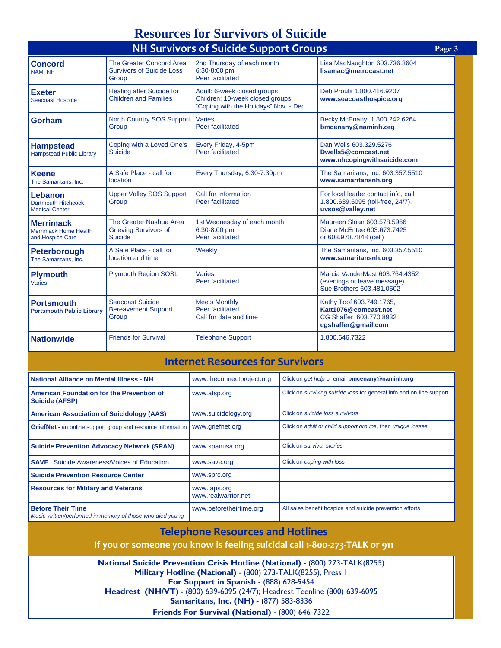## **Resources for Survivors of Suicide**

| <b>NH Survivors of Suicide Support Groups</b><br>Page 3              |                                                                       |                                                                                                          |                                                                                                    |  |
|----------------------------------------------------------------------|-----------------------------------------------------------------------|----------------------------------------------------------------------------------------------------------|----------------------------------------------------------------------------------------------------|--|
| <b>Concord</b><br><b>NAMI NH</b>                                     | The Greater Concord Area<br><b>Survivors of Suicide Loss</b><br>Group | 2nd Thursday of each month<br>6:30-8:00 pm<br>Peer facilitated                                           | Lisa MacNaughton 603.736.8604<br>lisamac@metrocast.net                                             |  |
| <b>Exeter</b><br><b>Seacoast Hospice</b>                             | <b>Healing after Suicide for</b><br><b>Children and Families</b>      | Adult: 6-week closed groups<br>Children: 10-week closed groups<br>"Coping with the Holidays" Nov. - Dec. | Deb Proulx 1.800.416.9207<br>www.seacoasthospice.org                                               |  |
| Gorham                                                               | North Country SOS Support<br>Group                                    | <b>Varies</b><br><b>Peer facilitated</b>                                                                 | Becky McEnany 1.800.242.6264<br>bmcenany@naminh.org                                                |  |
| <b>Hampstead</b><br><b>Hampstead Public Library</b>                  | Coping with a Loved One's<br>Suicide                                  | Every Friday, 4-5pm<br>Peer facilitated                                                                  | Dan Wells 603.329.5276<br>Dwells5@comcast.net<br>www.nhcopingwithsuicide.com                       |  |
| <b>Keene</b><br>The Samaritans, Inc.                                 | A Safe Place - call for<br><b>location</b>                            | Every Thursday, 6:30-7:30pm                                                                              | The Samaritans, Inc. 603.357.5510<br>www.samaritansnh.org                                          |  |
| Lebanon<br><b>Dartmouth Hitchcock</b><br><b>Medical Center</b>       | <b>Upper Valley SOS Support</b><br>Group                              | Call for Information<br>Peer facilitated                                                                 | For local leader contact info, call<br>1.800.639.6095 (toll-free, 24/7).<br>uvsos@valley.net       |  |
| <b>Merrimack</b><br><b>Merrimack Home Health</b><br>and Hospice Care | The Greater Nashua Area<br><b>Grieving Survivors of</b><br>Suicide    | 1st Wednesday of each month<br>6:30-8:00 pm<br>Peer facilitated                                          | Maureen Sloan 603.578.5966<br>Diane McEntee 603.673.7425<br>or 603.978.7848 (cell)                 |  |
| <b>Peterborough</b><br>The Samaritans. Inc.                          | A Safe Place - call for<br>location and time                          | Weekly                                                                                                   | The Samaritans, Inc. 603.357.5510<br>www.samaritansnh.org                                          |  |
| <b>Plymouth</b><br>Varies                                            | <b>Plymouth Region SOSL</b>                                           | Varies<br>Peer facilitated                                                                               | Marcia VanderMast 603.764.4352<br>(evenings or leave message)<br>Sue Brothers 603.481.0502         |  |
| <b>Portsmouth</b><br><b>Portsmouth Public Library</b>                | <b>Seacoast Suicide</b><br><b>Bereavement Support</b><br>Group        | <b>Meets Monthly</b><br>Peer facilitated<br>Call for date and time                                       | Kathy Toof 603.749.1765,<br>Katt1076@comcast.net<br>CG Shaffer 603.770.8932<br>cgshaffer@gmail.com |  |
| <b>Nationwide</b>                                                    | <b>Friends for Survival</b>                                           | <b>Telephone Support</b>                                                                                 | 1.800.646.7322                                                                                     |  |

### **Internet Resources for Survivors**

| National Alliance on Mental Illness - NH                                              | www.theconnectproject.org           | Click on get help or email bmcenany@naminh.org                              |
|---------------------------------------------------------------------------------------|-------------------------------------|-----------------------------------------------------------------------------|
| <b>American Foundation for the Prevention of</b><br><b>Suicide (AFSP)</b>             | www.afsp.org                        | Click on <i>surviving suicide loss</i> for general info and on-line support |
| <b>American Association of Suicidology (AAS)</b>                                      | www.suicidology.org                 | Click on suicide loss survivors                                             |
| <b>GriefNet</b> - an online support group and resource information                    | www.griefnet.org                    | Click on adult or child support groups, then unique losses                  |
| <b>Suicide Prevention Advocacy Network (SPAN)</b>                                     | www.spanusa.org                     | Click on survivor stories                                                   |
| <b>SAVE</b> - Suicide Awareness/Voices of Education                                   | www.save.org                        | Click on coping with loss                                                   |
| <b>Suicide Prevention Resource Center</b>                                             | www.sprc.org                        |                                                                             |
| <b>Resources for Military and Veterans</b>                                            | www.taps.org<br>www.realwarrior.net |                                                                             |
| <b>Before Their Time</b><br>Music written/performed in memory of those who died young | www.beforetheirtime.org             | All sales benefit hospice and suicide prevention efforts                    |

### **Telephone Resources and Hotlines**

**If you or someone you know is feeling suicidal call 1‐800‐273‐TALK or 911**

**National Suicide Prevention Crisis Hotline (National)** - (800) 273-TALK(8255) **Military Hotline (National)** - (800) 273-TALK(8255), Press 1 **For Support in Spanish** - (888) 628-9454 **Headrest (NH/VT**) - (800) 639-6095 (24/7); Headrest Teenline (800) 639-6095 **Samaritans, Inc. (NH) -** (877) 583-8336 **Friends For Survival (National) -** (800) 646-7322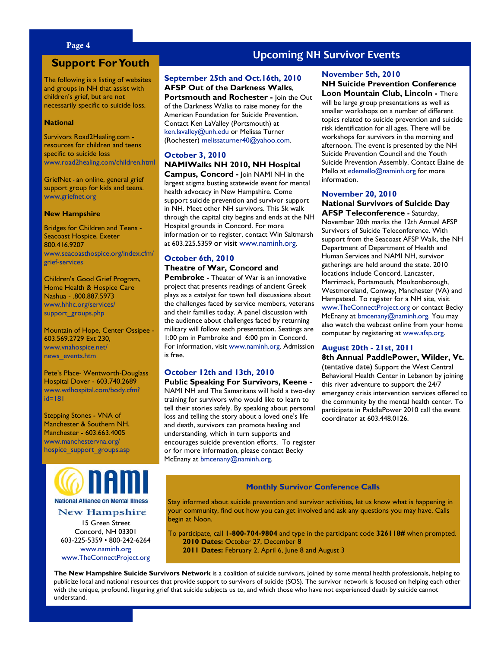### Page 4

### **Support For Youth**

The following is a listing of websites and groups in NH that assist with children's grief, but are not necessarily specific to suicide loss.

#### **National**

Survivors Road2Healing.com resources for children and teens specific to suicide loss www.road2healing.com/children.html

GriefNet - an online, general grief support group for kids and teens. www.griefnet.org

#### **New Hampshire**

Bridges for Children and Teens - Seacoast Hospice, Exeter 800.416.9207 www.seacoasthospice.org/index.cfm/ grief-services

Children's Good Grief Program, Home Health & Hospice Care Nashua - .800.887.5973 www.hhhc.org/services/ support\_groups.php

Mountain of Hope, Center Ossipee - 603.569.2729 Ext 230, www.vnahospice.net/ news\_events.htm

Pete's Place- Wentworth-Douglass Hospital Dover - 603.740.2689 www.wdhospital.com/body.cfm? id=181

Stepping Stones - VNA of Manchester & Southern NH, Manchester - 603.663.4005 www.manchestervna.org/ hospice\_support\_groups.asp



### **New Hampshire**

15 Green Street Concord, NH 03301 603-225-5359 • 800-242-6264 www.naminh.org www.TheConnectProject.org

### **Upcoming NH Survivor Events**

### **September 25th and Oct.16th, 2010 AFSP Out of the Darkness Walks**,

**Portsmouth and Rochester -** Join the Out of the Darkness Walks to raise money for the American Foundation for Suicide Prevention. Contact Ken LaValley (Portsmouth) at ken.lavalley@unh.edu or Melissa Turner (Rochester) melissaturner40@yahoo.com.

### **October 3, 2010 NAMIWalks NH 2010, NH Hospital**

**Campus, Concord -** Join NAMI NH in the largest stigma busting statewide event for mental health advocacy in New Hampshire. Come support suicide prevention and survivor support in NH. Meet other NH survivors. This 5k walk through the capital city begins and ends at the NH Hospital grounds in Concord. For more information or to register, contact Win Saltmarsh at 603.225.5359 or visit www.naminh.org.

### **October 6th, 2010 Theatre of War, Concord and**

**Pembroke -** Theater of War is an innovative project that presents readings of ancient Greek plays as a catalyst for town hall discussions about the challenges faced by service members, veterans and their families today. A panel discussion with the audience about challenges faced by returning military will follow each presentation. Seatings are 1:00 pm in Pembroke and 6:00 pm in Concord. For information, visit www.naminh.org. Admission is free.

### **October 12th and 13th, 2010**

**Public Speaking For Survivors, Keene -** NAMI NH and The Samaritans will hold a two-day training for survivors who would like to learn to tell their stories safely. By speaking about personal loss and telling the story about a loved one's life and death, survivors can promote healing and understanding, which in turn supports and encourages suicide prevention efforts. To register or for more information, please contact Becky McEnany at bmcenany@naminh.org.

### **November 5th, 2010**

**NH Suicide Prevention Conference Loon Mountain Club, Lincoln -** There

will be large group presentations as well as smaller workshops on a number of different topics related to suicide prevention and suicide risk identification for all ages. There will be workshops for survivors in the morning and afternoon. The event is presented by the NH Suicide Prevention Council and the Youth Suicide Prevention Assembly. Contact Elaine de Mello at edemello@naminh.org for more information.

#### **November 20, 2010**

#### **National Survivors of Suicide Day AFSP Teleconference -** Saturday,

November 20th marks the 12th Annual AFSP Survivors of Suicide Teleconference. With support from the Seacoast AFSP Walk, the NH Department of Department of Health and Human Services and NAMI NH, survivor gatherings are held around the state. 2010 locations include Concord, Lancaster, Merrimack, Portsmouth, Moultonborough, Westmoreland, Conway, Manchester (VA) and Hampstead. To register for a NH site, visit www.TheConnectProject.org or contact Becky McEnany at bmcenany@naminh.org. You may also watch the webcast online from your home computer by registering at www.afsp.org.

### **August 20th - 21st, 2011**

**8th Annual PaddlePower, Wilder, Vt.**  (tentative date) Support the West Central Behavioral Health Center in Lebanon by joining this river adventure to support the 24/7 emergency crisis intervention services offered to the community by the mental health center. To participate in PaddlePower 2010 call the event coordinator at 603.448.0126.

#### **Monthly Survivor Conference Calls**

Stay informed about suicide prevention and survivor activities, let us know what is happening in your community, find out how you can get involved and ask any questions you may have. Calls begin at Noon.

To participate, call **1-800-704-9804** and type in the participant code **326118#** when prompted. **2010 Dates:** October 27, December 8 **2011 Dates:** February 2, April 6, June 8 and August 3

**The New Hampshire Suicide Survivors Network** is a coalition of suicide survivors, joined by some mental health professionals, helping to publicize local and national resources that provide support to survivors of suicide (SOS). The survivor network is focused on helping each other with the unique, profound, lingering grief that suicide subjects us to, and which those who have not experienced death by suicide cannot understand.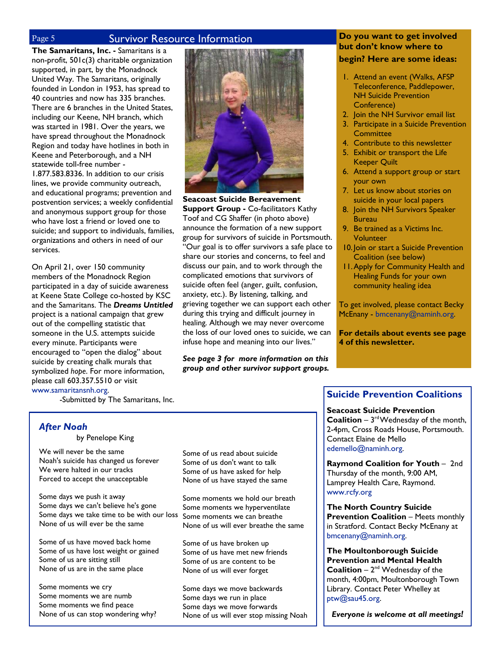### Page 5 Survivor Resource Information

**The Samaritans, Inc. -** Samaritans is a non-profit, 501c(3) charitable organization supported, in part, by the Monadnock United Way. The Samaritans, originally founded in London in 1953, has spread to 40 countries and now has 335 branches. There are 6 branches in the United States, including our Keene, NH branch, which was started in 1981. Over the years, we have spread throughout the Monadnock Region and today have hotlines in both in Keene and Peterborough, and a NH statewide toll-free number - 1.877.583.8336. In addition to our crisis lines, we provide community outreach, and educational programs; prevention and postvention services; a weekly confidential and anonymous support group for those who have lost a friend or loved one to suicide; and support to individuals, families, organizations and others in need of our services.

On April 21, over 150 community members of the Monadnock Region participated in a day of suicide awareness at Keene State College co-hosted by KSC and the Samaritans. The *Dreams Untitled* project is a national campaign that grew out of the compelling statistic that someone in the U.S. attempts suicide every minute. Participants were encouraged to "open the dialog" about suicide by creating chalk murals that symbolized *hope*. For more information, please call 603.357.5510 or visit www.samaritansnh.org.



**Seacoast Suicide Bereavement Support Group - Co-facilitators Kathy** Toof and CG Shaffer (in photo above) announce the formation of a new support group for survivors of suicide in Portsmouth. "Our goal is to offer survivors a safe place to share our stories and concerns, to feel and discuss our pain, and to work through the complicated emotions that survivors of suicide often feel (anger, guilt, confusion, anxiety, etc.). By listening, talking, and grieving together we can support each other during this trying and difficult journey in healing. Although we may never overcome the loss of our loved ones to suicide, we can infuse hope and meaning into our lives."

*See page 3 for more information on this group and other survivor support groups.* 

### **Do you want to get involved but don't know where to begin? Here are some ideas:**

- 1. Attend an event (Walks, AFSP Teleconference, Paddlepower, NH Suicide Prevention Conference)
- 2. Join the NH Survivor email list
- 3. Participate in a Suicide Prevention **Committee**
- 4. Contribute to this newsletter
- 5. Exhibit or transport the Life Keeper Quilt
- 6. Attend a support group or start your own
- 7. Let us know about stories on suicide in your local papers
- 8. Join the NH Survivors Speaker **Bureau**
- 9. Be trained as a Victims Inc. Volunteer
- 10. Join or start a Suicide Prevention Coalition (see below)
- 11. Apply for Community Health and Healing Funds for your own community healing idea

To get involved, please contact Becky McEnany - bmcenany@naminh.org.

**For details about events see page 4 of this newsletter.** 

-Submitted by The Samaritans, Inc.

### *After Noah*

by Penelope King

We will never be the same Noah's suicide has changed us forever We were halted in our tracks Forced to accept the unacceptable

Some days we push it away Some days we can't believe he's gone Some days we take time to be with our loss Some moments we can breathe None of us will ever be the same

Some of us have moved back home Some of us have lost weight or gained Some of us are sitting still None of us are in the same place

Some moments we cry Some moments we are numb Some moments we find peace None of us can stop wondering why? Some of us read about suicide Some of us don't want to talk Some of us have asked for help None of us have stayed the same

Some moments we hold our breath Some moments we hyperventilate None of us will ever breathe the same

Some of us have broken up Some of us have met new friends Some of us are content to be None of us will ever forget

Some days we move backwards Some days we run in place Some days we move forwards None of us will ever stop missing Noah

### **Suicide Prevention Coalitions**

**Seacoast Suicide Prevention** 

**Coalition** –  $3^{rd}$  Wednesday of the month, 2-4pm, Cross Roads House, Portsmouth. Contact Elaine de Mello edemello@naminh.org.

**Raymond Coalition for Youth** – 2nd Thursday of the month, 9:00 AM, Lamprey Health Care, Raymond. www.rcfy.org

**The North Country Suicide Prevention Coalition** – Meets monthly in Stratford. Contact Becky McEnany at bmcenany@naminh.org.

**The Moultonborough Suicide Prevention and Mental Health Coalition** –  $2^{nd}$  Wednesday of the month, 4:00pm, Moultonborough Town Library. Contact Peter Whelley at ptw@sau45.org.

*Everyone is welcome at all meetings!*